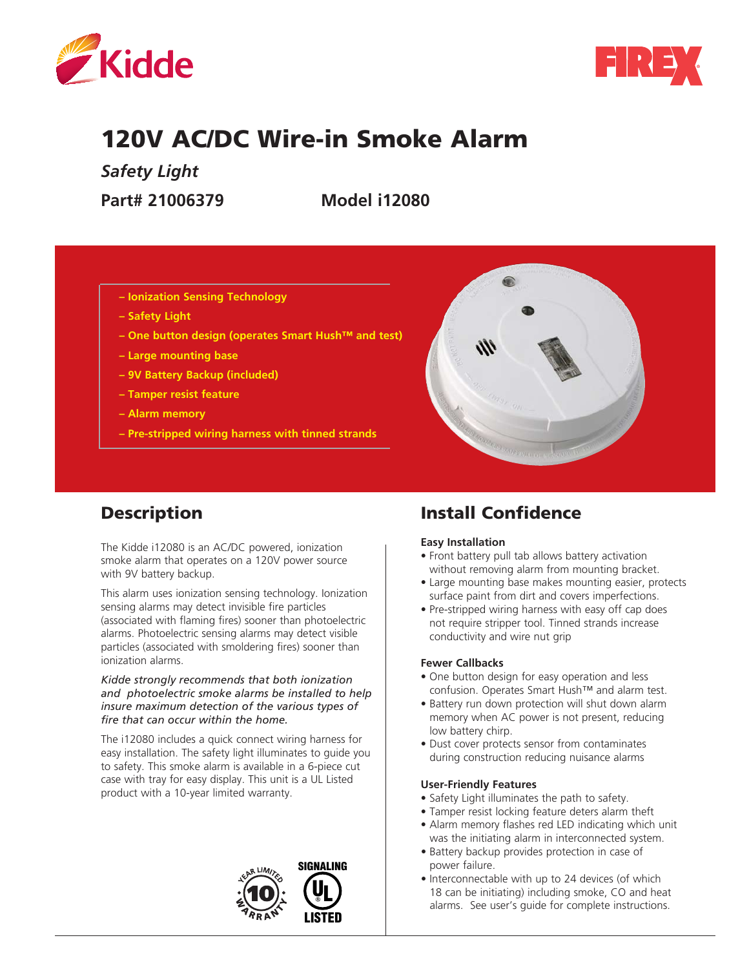



# 120V AC/DC Wire-in Smoke Alarm

*Safety Light*

**Part# 21006379 Model i12080**

- **Ionization Sensing Technology**
- **Safety Light**
- **One button design (operates Smart Hush™ and test)**
- **Large mounting base**
- **9V Battery Backup (included)**
- **Tamper resist feature**
- **Alarm memory**
- **Pre-stripped wiring harness with tinned strands**



# **Description**

The Kidde i12080 is an AC/DC powered, ionization smoke alarm that operates on a 120V power source with 9V battery backup.

This alarm uses ionization sensing technology. Ionization sensing alarms may detect invisible fire particles (associated with flaming fires) sooner than photoelectric alarms. Photoelectric sensing alarms may detect visible particles (associated with smoldering fires) sooner than ionization alarms.

*Kidde strongly recommends that both ionization and photoelectric smoke alarms be installed to help insure maximum detection of the various types of fire that can occur within the home.*

The i12080 includes a quick connect wiring harness for easy installation. The safety light illuminates to guide you to safety. This smoke alarm is available in a 6-piece cut case with tray for easy display. This unit is a UL Listed product with a 10-year limited warranty.



# Install Confidence

#### **Easy Installation**

- Front battery pull tab allows battery activation without removing alarm from mounting bracket.
- Large mounting base makes mounting easier, protects surface paint from dirt and covers imperfections.
- Pre-stripped wiring harness with easy off cap does not require stripper tool. Tinned strands increase conductivity and wire nut grip

#### **Fewer Callbacks**

- One button design for easy operation and less confusion. Operates Smart Hush™ and alarm test.
- Battery run down protection will shut down alarm memory when AC power is not present, reducing low battery chirp.
- Dust cover protects sensor from contaminates during construction reducing nuisance alarms

#### **User-Friendly Features**

- Safety Light illuminates the path to safety.
- Tamper resist locking feature deters alarm theft
- Alarm memory flashes red LED indicating which unit was the initiating alarm in interconnected system.
- Battery backup provides protection in case of power failure.
- Interconnectable with up to 24 devices (of which 18 can be initiating) including smoke, CO and heat alarms. See user's guide for complete instructions.